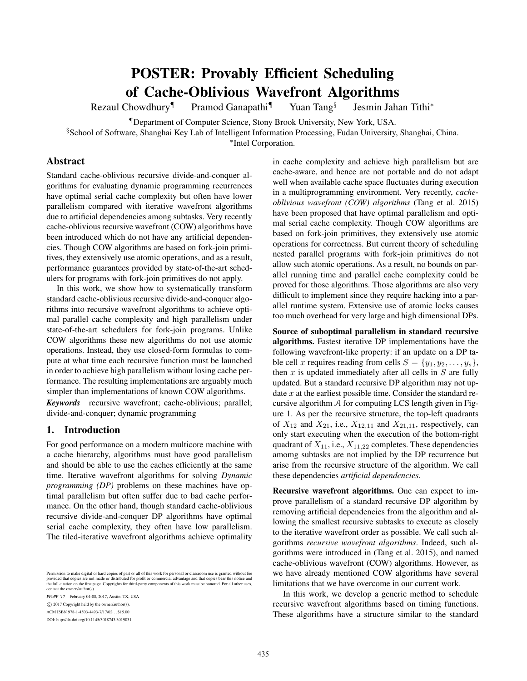# POSTER: Provably Efficient Scheduling of Cache-Oblivious Wavefront Algorithms

Rezaul Chowdhury<sup>¶</sup> Pramod Ganapathi<sup>¶</sup> Yuan Tang<sup>§</sup>

Jesmin Jahan Tithi<sup>∗</sup>

¶Department of Computer Science, Stony Brook University, New York, USA.

§School of Software, Shanghai Key Lab of Intelligent Information Processing, Fudan University, Shanghai, China.

∗ Intel Corporation.

## Abstract

Standard cache-oblivious recursive divide-and-conquer algorithms for evaluating dynamic programming recurrences have optimal serial cache complexity but often have lower parallelism compared with iterative wavefront algorithms due to artificial dependencies among subtasks. Very recently cache-oblivious recursive wavefront (COW) algorithms have been introduced which do not have any artificial dependencies. Though COW algorithms are based on fork-join primitives, they extensively use atomic operations, and as a result, performance guarantees provided by state-of-the-art schedulers for programs with fork-join primitives do not apply.

In this work, we show how to systematically transform standard cache-oblivious recursive divide-and-conquer algorithms into recursive wavefront algorithms to achieve optimal parallel cache complexity and high parallelism under state-of-the-art schedulers for fork-join programs. Unlike COW algorithms these new algorithms do not use atomic operations. Instead, they use closed-form formulas to compute at what time each recursive function must be launched in order to achieve high parallelism without losing cache performance. The resulting implementations are arguably much simpler than implementations of known COW algorithms.

*Keywords* recursive wavefront; cache-oblivious; parallel; divide-and-conquer; dynamic programming

# 1. Introduction

For good performance on a modern multicore machine with a cache hierarchy, algorithms must have good parallelism and should be able to use the caches efficiently at the same time. Iterative wavefront algorithms for solving *Dynamic programming (DP)* problems on these machines have optimal parallelism but often suffer due to bad cache performance. On the other hand, though standard cache-oblivious recursive divide-and-conquer DP algorithms have optimal serial cache complexity, they often have low parallelism. The tiled-iterative wavefront algorithms achieve optimality

Permission to make digital or hard copies of part or all of this work for personal or classroom use is granted without fee<br>provided that copies are not made or distributed for profit or commercial advantage and that copies the full citation on the first page. Copyrights for third-party components of this work must be honored. For all other uses, contact the owner/author(s).

PPoPP '17 February 04-08, 2017, Austin, TX, USA

ACM ISBN 978-1-4503-4493-7/17/02. . . \$15.00

DOI: http://dx.doi.org/10.1145/3018743.3019031

in cache complexity and achieve high parallelism but are cache-aware, and hence are not portable and do not adapt well when available cache space fluctuates during execution in a multiprogramming environment. Very recently, *cacheoblivious wavefront (COW) algorithms* (Tang et al. 2015) have been proposed that have optimal parallelism and optimal serial cache complexity. Though COW algorithms are based on fork-join primitives, they extensively use atomic operations for correctness. But current theory of scheduling nested parallel programs with fork-join primitives do not allow such atomic operations. As a result, no bounds on parallel running time and parallel cache complexity could be proved for those algorithms. Those algorithms are also very difficult to implement since they require hacking into a parallel runtime system. Extensive use of atomic locks causes too much overhead for very large and high dimensional DPs.

Source of suboptimal parallelism in standard recursive algorithms. Fastest iterative DP implementations have the following wavefront-like property: if an update on a DP table cell x requires reading from cells  $S = \{y_1, y_2, \dots, y_s\},\$ then  $x$  is updated immediately after all cells in  $S$  are fully updated. But a standard recursive DP algorithm may not update  $x$  at the earliest possible time. Consider the standard recursive algorithm  $A$  for computing LCS length given in Figure 1. As per the recursive structure, the top-left quadrants of  $X_{12}$  and  $X_{21}$ , i.e.,  $X_{12,11}$  and  $X_{21,11}$ , respectively, can only start executing when the execution of the bottom-right quadrant of  $X_{11}$ , i.e.,  $X_{11,22}$  completes. These dependencies amomg subtasks are not implied by the DP recurrence but arise from the recursive structure of the algorithm. We call these dependencies *artificial dependencies*.

Recursive wavefront algorithms. One can expect to improve parallelism of a standard recursive DP algorithm by removing artificial dependencies from the algorithm and allowing the smallest recursive subtasks to execute as closely to the iterative wavefront order as possible. We call such algorithms *recursive wavefront algorithms*. Indeed, such algorithms were introduced in (Tang et al. 2015), and named cache-oblivious wavefront (COW) algorithms. However, as we have already mentioned COW algorithms have several limitations that we have overcome in our current work.

In this work, we develop a generic method to schedule recursive wavefront algorithms based on timing functions. These algorithms have a structure similar to the standard

c 2017 Copyright held by the owner/author(s).